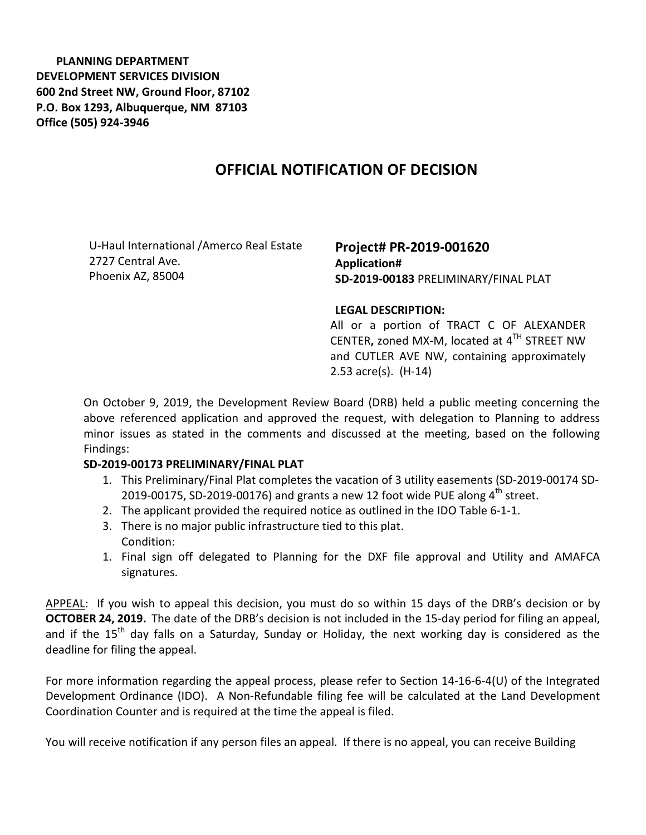**PLANNING DEPARTMENT DEVELOPMENT SERVICES DIVISION 600 2nd Street NW, Ground Floor, 87102 P.O. Box 1293, Albuquerque, NM 87103 Office (505) 924-3946** 

## **OFFICIAL NOTIFICATION OF DECISION**

U-Haul International /Amerco Real Estate 2727 Central Ave. Phoenix AZ, 85004

**Project# PR-2019-001620 Application# SD-2019-00183** PRELIMINARY/FINAL PLAT

## **LEGAL DESCRIPTION:**

All or a portion of TRACT C OF ALEXANDER CENTER**,** zoned MX-M, located at 4TH STREET NW and CUTLER AVE NW, containing approximately 2.53 acre(s). (H-14)

On October 9, 2019, the Development Review Board (DRB) held a public meeting concerning the above referenced application and approved the request, with delegation to Planning to address minor issues as stated in the comments and discussed at the meeting, based on the following Findings:

## **SD-2019-00173 PRELIMINARY/FINAL PLAT**

- 1. This Preliminary/Final Plat completes the vacation of 3 utility easements (SD-2019-00174 SD-2019-00175, SD-2019-00176) and grants a new 12 foot wide PUE along  $4^{th}$  street.
- 2. The applicant provided the required notice as outlined in the IDO Table 6-1-1.
- 3. There is no major public infrastructure tied to this plat. Condition:
- 1. Final sign off delegated to Planning for the DXF file approval and Utility and AMAFCA signatures.

APPEAL: If you wish to appeal this decision, you must do so within 15 days of the DRB's decision or by **OCTOBER 24, 2019.** The date of the DRB's decision is not included in the 15-day period for filing an appeal, and if the  $15<sup>th</sup>$  day falls on a Saturday, Sunday or Holiday, the next working day is considered as the deadline for filing the appeal.

For more information regarding the appeal process, please refer to Section 14-16-6-4(U) of the Integrated Development Ordinance (IDO). A Non-Refundable filing fee will be calculated at the Land Development Coordination Counter and is required at the time the appeal is filed.

You will receive notification if any person files an appeal. If there is no appeal, you can receive Building